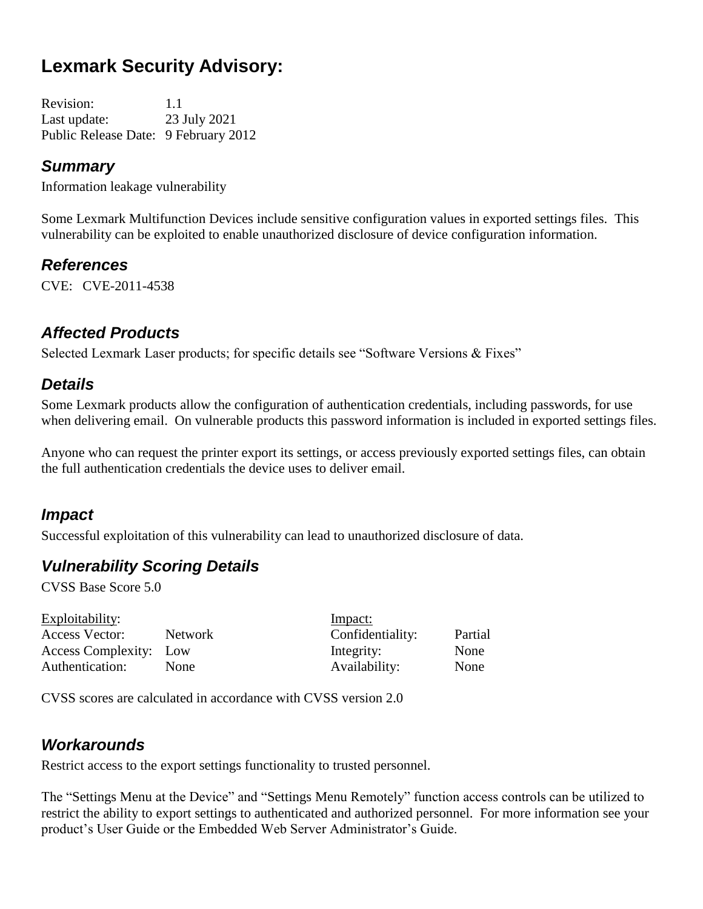# **Lexmark Security Advisory:**

Revision: 1.1 Last update: 23 July 2021 Public Release Date: 9 February 2012

#### *Summary*

Information leakage vulnerability

Some Lexmark Multifunction Devices include sensitive configuration values in exported settings files. This vulnerability can be exploited to enable unauthorized disclosure of device configuration information.

## *References*

CVE: CVE-2011-4538

# *Affected Products*

Selected Lexmark Laser products; for specific details see "Software Versions & Fixes"

# *Details*

Some Lexmark products allow the configuration of authentication credentials, including passwords, for use when delivering email. On vulnerable products this password information is included in exported settings files.

Anyone who can request the printer export its settings, or access previously exported settings files, can obtain the full authentication credentials the device uses to deliver email.

# *Impact*

Successful exploitation of this vulnerability can lead to unauthorized disclosure of data.

# *Vulnerability Scoring Details*

CVSS Base Score 5.0

| Exploitability:        |             | Impact:          |         |
|------------------------|-------------|------------------|---------|
| Access Vector:         | Network     | Confidentiality: | Partial |
| Access Complexity: Low |             | Integrity:       | None    |
| Authentication:        | <b>None</b> | Availability:    | None    |

CVSS scores are calculated in accordance with CVSS version 2.0

#### *Workarounds*

Restrict access to the export settings functionality to trusted personnel.

The "Settings Menu at the Device" and "Settings Menu Remotely" function access controls can be utilized to restrict the ability to export settings to authenticated and authorized personnel. For more information see your product's User Guide or the Embedded Web Server Administrator's Guide.